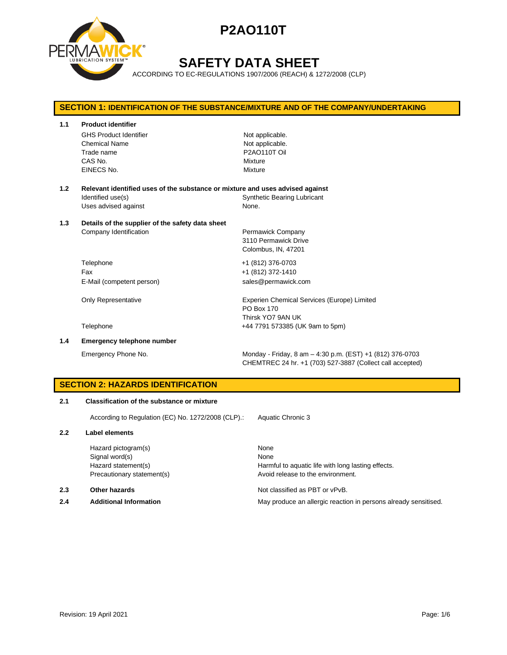

## **SAFETY DATA SHEET**

ACCORDING TO EC-REGULATIONS 1907/2006 (REACH) & 1272/2008 (CLP)

## **SECTION 1: IDENTIFICATION OF THE SUBSTANCE/MIXTURE AND OF THE COMPANY/UNDERTAKING 1.1 Product identifier** GHS Product Identifier Not applicable. Chemical Name Not applicable. Trade name P2AO110T Oil CAS No. Mixture EINECS No. 2008 - 2009 Mixture **1.2 Relevant identified uses of the substance or mixture and uses advised against** Identified use(s) The Synthetic Bearing Lubricant Uses advised against None. **1.3 Details of the supplier of the safety data sheet** Company Identification **Permawick Company** 3110 Permawick Drive Colombus, IN, 47201 Telephone +1 (812) 376-0703 Fax +1 (812) 372-1410 E-Mail (competent person) sales@permawick.com Only Representative **Experien Chemical Services (Europe)** Limited PO Box 170 Thirsk YO7 9AN UK Telephone +44 7791 573385 (UK 9am to 5pm) **1.4 Emergency telephone number** Emergency Phone No. Monday - Friday, 8 am – 4:30 p.m. (EST) +1 (812) 376-0703

### **SECTION 2: HAZARDS IDENTIFICATION**

#### **2.1 Classification of the substance or mixture**

According to Regulation (EC) No. 1272/2008 (CLP).: Aquatic Chronic 3

#### **2.2 Label elements**

Hazard pictogram(s) None Signal word(s) None

#### **2.3 Other hazards Detection According to the Contract Contract According Not classified as PBT or vPvB.**

Hazard statement(s) The Harmful to aquatic life with long lasting effects. Precautionary statement(s) example a provid release to the environment.

CHEMTREC 24 hr. +1 (703) 527-3887 (Collect call accepted)

**2.4 Additional Information** May produce an allergic reaction in persons already sensitised.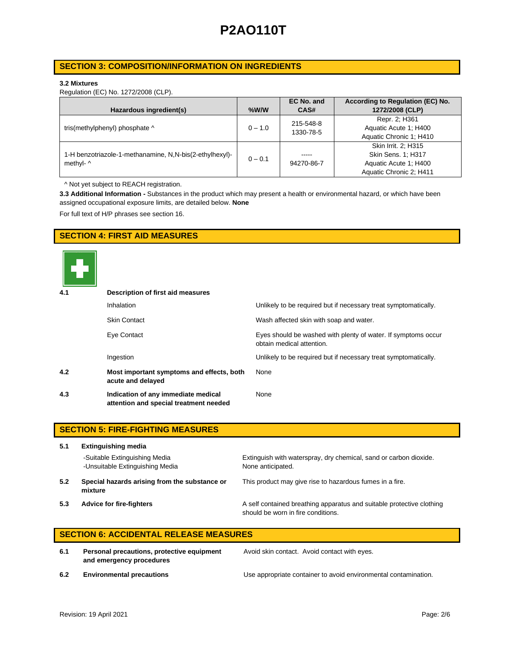## **SECTION 3: COMPOSITION/INFORMATION ON INGREDIENTS**

### **3.2 Mixtures**

Regulation (EC) No. 1272/2008 (CLP).

|                                                         |           | EC No. and | According to Regulation (EC) No. |
|---------------------------------------------------------|-----------|------------|----------------------------------|
| Hazardous ingredient(s)                                 | $%$ W/W   | CAS#       | 1272/2008 (CLP)                  |
|                                                         |           | 215-548-8  | Repr. 2; H361                    |
| tris(methylphenyl) phosphate ^                          | $0 - 1.0$ | 1330-78-5  | Aquatic Acute 1: H400            |
|                                                         |           |            | Aquatic Chronic 1; H410          |
|                                                         |           |            | Skin Irrit. 2: H315              |
| 1-H benzotriazole-1-methanamine, N,N-bis(2-ethylhexyl)- | $0 - 0.1$ | -----      | Skin Sens. 1; H317               |
| methyl- ^                                               |           | 94270-86-7 | Aquatic Acute 1: H400            |
|                                                         |           |            | Aquatic Chronic 2; H411          |

^ Not yet subject to REACH registration.

**3.3 Additional Information -** Substances in the product which may present a health or environmental hazard, or which have been assigned occupational exposure limits, are detailed below. **None**

For full text of H/P phrases see section 16.

## **SECTION 4: FIRST AID MEASURES**



| 4.1 | Description of first aid measures                                             |                                                                                            |  |  |  |
|-----|-------------------------------------------------------------------------------|--------------------------------------------------------------------------------------------|--|--|--|
|     | <b>Inhalation</b>                                                             | Unlikely to be required but if necessary treat symptomatically.                            |  |  |  |
|     | <b>Skin Contact</b>                                                           | Wash affected skin with soap and water.                                                    |  |  |  |
|     | Eye Contact                                                                   | Eyes should be washed with plenty of water. If symptoms occur<br>obtain medical attention. |  |  |  |
|     | Ingestion                                                                     | Unlikely to be required but if necessary treat symptomatically.                            |  |  |  |
| 4.2 | Most important symptoms and effects, both<br>acute and delayed                | None                                                                                       |  |  |  |
| 4.3 | Indication of any immediate medical<br>attention and special treatment needed | None                                                                                       |  |  |  |

|     | <b>SECTION 5: FIRE-FIGHTING MEASURES</b>                         |                                                                                                             |  |  |  |
|-----|------------------------------------------------------------------|-------------------------------------------------------------------------------------------------------------|--|--|--|
| 5.1 | <b>Extinguishing media</b>                                       |                                                                                                             |  |  |  |
|     | -Suitable Extinguishing Media<br>-Unsuitable Extinguishing Media | Extinguish with waterspray, dry chemical, sand or carbon dioxide.<br>None anticipated.                      |  |  |  |
| 5.2 | Special hazards arising from the substance or<br>mixture         | This product may give rise to hazardous fumes in a fire.                                                    |  |  |  |
| 5.3 | <b>Advice for fire-fighters</b>                                  | A self contained breathing apparatus and suitable protective clothing<br>should be worn in fire conditions. |  |  |  |

## **SECTION 6: ACCIDENTAL RELEASE MEASURES**

**6.1 Personal precautions, protective equipment and emergency procedures**

Avoid skin contact. Avoid contact with eyes.

**6.2 Environmental precautions** Use appropriate container to avoid environmental contamination.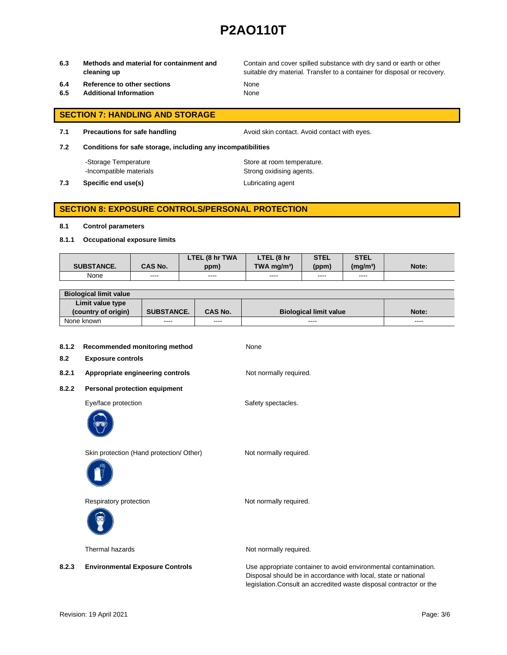**6.3 Methods and material for containment and cleaning up**

Contain and cover spilled substance with dry sand or earth or other suitable dry material. Transfer to a container for disposal or recovery.

- **6.4 Reference to other sections** None
- **6.5 Additional Information** None

- **SECTION 7: HANDLING AND STORAGE**
- **7.1 Precautions for safe handling Avoid skin contact. Avoid contact with eyes.**

**7.2 Conditions for safe storage, including any incompatibilities**

-Storage Temperature **Store at room temperature.** 

**7.3 Specific end use(s) Lubricating agent** 

-Incompatible materials **Strong oxidising agents**.

## **SECTION 8: EXPOSURE CONTROLS/PERSONAL PROTECTION**

#### **8.1 Control parameters**

**8.1.1 Occupational exposure limits**

|                   |                | LTEL (8 hr TWA | LTEL (8 hr                | <b>STEL</b> | <b>STEL</b>     |       |
|-------------------|----------------|----------------|---------------------------|-------------|-----------------|-------|
| <b>SUBSTANCE.</b> | <b>CAS No.</b> | ppm)           | $TWA$ ma/m <sup>3</sup> ) | (ppm)       | $(m\alpha/m^3)$ | Note: |
| None              | ----           | ----           | ----                      | ----        | ----            |       |

| <b>Biological limit value</b> |                   |                |                               |               |
|-------------------------------|-------------------|----------------|-------------------------------|---------------|
| Limit value type              |                   |                |                               |               |
| (country of origin)           | <b>SUBSTANCE.</b> | <b>CAS No.</b> | <b>Biological limit value</b> | Note:         |
| None known                    | ----              | ----           | ----                          | $\frac{1}{2}$ |

| 8.1.2<br>8.2 | Recommended monitoring method<br><b>Exposure controls</b> | None                                                                                                                              |
|--------------|-----------------------------------------------------------|-----------------------------------------------------------------------------------------------------------------------------------|
| 8.2.1        | Appropriate engineering controls                          | Not normally required.                                                                                                            |
| 8.2.2        | <b>Personal protection equipment</b>                      |                                                                                                                                   |
|              | Eye/face protection                                       | Safety spectacles.                                                                                                                |
|              | Skin protection (Hand protection/ Other)                  | Not normally required.                                                                                                            |
|              | Respiratory protection                                    | Not normally required.                                                                                                            |
|              | Thermal hazards                                           | Not normally required.                                                                                                            |
| 8.2.3        | <b>Environmental Exposure Controls</b>                    | Use appropriate container to avoid environmental contamination.<br>Disposal should be in accordance with local, state or national |

legislation.Consult an accredited waste disposal contractor or the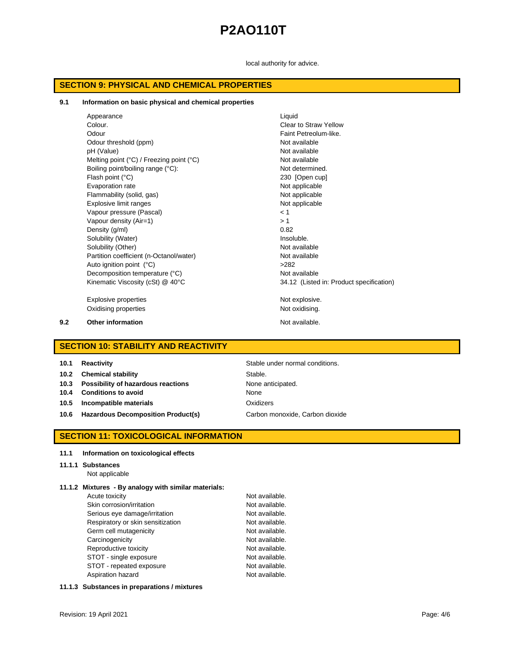local authority for advice.

## **SECTION 9: PHYSICAL AND CHEMICAL PROPERTIES**

#### **9.1 Information on basic physical and chemical properties**

|     | Appearance                                                 | Liquid                                   |
|-----|------------------------------------------------------------|------------------------------------------|
|     | Colour.                                                    | Clear to Straw Yellow                    |
|     | Odour                                                      | Faint Petreolum-like.                    |
|     | Odour threshold (ppm)                                      | Not available                            |
|     | pH (Value)                                                 | Not available                            |
|     | Melting point $(^{\circ}C)$ / Freezing point $(^{\circ}C)$ | Not available                            |
|     | Boiling point/boiling range (°C):                          | Not determined.                          |
|     | Flash point (°C)                                           | 230 [Open cup]                           |
|     | Evaporation rate                                           | Not applicable                           |
|     | Flammability (solid, gas)                                  | Not applicable                           |
|     | Explosive limit ranges                                     | Not applicable                           |
|     | Vapour pressure (Pascal)                                   | < 1                                      |
|     | Vapour density (Air=1)                                     | > 1                                      |
|     | Density (g/ml)                                             | 0.82                                     |
|     | Solubility (Water)                                         | Insoluble.                               |
|     | Solubility (Other)                                         | Not available                            |
|     | Partition coefficient (n-Octanol/water)                    | Not available                            |
|     | Auto ignition point (°C)                                   | >282                                     |
|     | Decomposition temperature (°C)                             | Not available                            |
|     | Kinematic Viscosity (cSt) @ 40°C                           | 34.12 (Listed in: Product specification) |
|     | <b>Explosive properties</b>                                | Not explosive.                           |
|     | Oxidising properties                                       | Not oxidising.                           |
| 9.2 | <b>Other information</b>                                   | Not available.                           |

## **SECTION 10: STABILITY AND REACTIVITY**

**Stable under normal conditions. 10.2 Chemical stability** Stable. **10.3 Possibility of hazardous reactions** None anticipated. **10.4 Conditions to avoid** None **10.5 Incompatible materials Canadian Example 20 and Data Constructs** Oxidizers 10.6 **Hazardous Decomposition Product(s)** Carbon monoxide, Carbon dioxide

## **SECTION 11: TOXICOLOGICAL INFORMATION**

### **11.1 Information on toxicological effects**

#### **11.1.1 Substances**

Not applicable

### **11.1.2 Mixtures - By analogy with similar materials:**

| Acute toxicity                    | Not available. |
|-----------------------------------|----------------|
| Skin corrosion/irritation         | Not available. |
| Serious eye damage/irritation     | Not available. |
| Respiratory or skin sensitization | Not available. |
| Germ cell mutagenicity            | Not available. |
| Carcinogenicity                   | Not available. |
| Reproductive toxicity             | Not available. |
| STOT - single exposure            | Not available. |
| STOT - repeated exposure          | Not available. |
| Aspiration hazard                 | Not available. |

### **11.1.3 Substances in preparations / mixtures**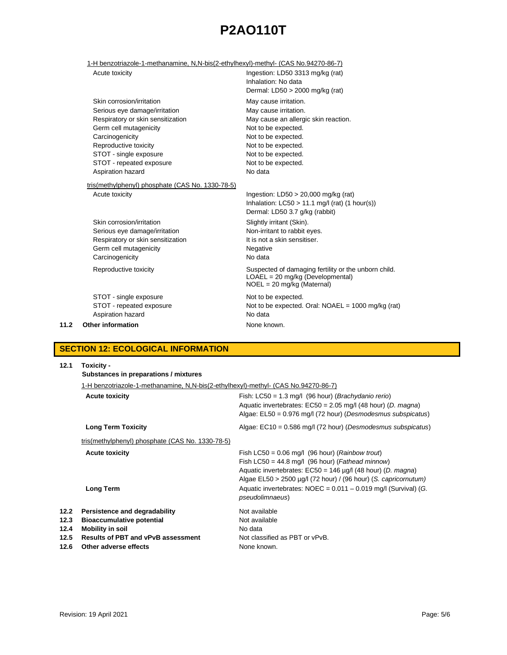## 1-H benzotriazole-1-methanamine, N,N-bis(2-ethylhexyl)-methyl- (CAS No.94270-86-7)

|      | Acute toxicity                                                                                                                                                                                                                                   | Ingestion: LD50 3313 mg/kg (rat)<br>Inhalation: No data<br>Dermal: $LD50 > 2000$ mg/kg (rat)                                                                                                                         |
|------|--------------------------------------------------------------------------------------------------------------------------------------------------------------------------------------------------------------------------------------------------|----------------------------------------------------------------------------------------------------------------------------------------------------------------------------------------------------------------------|
|      | Skin corrosion/irritation<br>Serious eye damage/irritation<br>Respiratory or skin sensitization<br>Germ cell mutagenicity<br>Carcinogenicity<br>Reproductive toxicity<br>STOT - single exposure<br>STOT - repeated exposure<br>Aspiration hazard | May cause irritation.<br>May cause irritation.<br>May cause an allergic skin reaction.<br>Not to be expected.<br>Not to be expected.<br>Not to be expected.<br>Not to be expected.<br>Not to be expected.<br>No data |
|      | tris(methylphenyl) phosphate (CAS No. 1330-78-5)<br>Acute toxicity                                                                                                                                                                               | Ingestion: $LD50 > 20,000$ mg/kg (rat)<br>Inhalation: $LC50 > 11.1$ mg/l (rat) (1 hour(s))<br>Dermal: LD50 3.7 g/kg (rabbit)                                                                                         |
|      | Skin corrosion/irritation<br>Serious eye damage/irritation<br>Respiratory or skin sensitization<br>Germ cell mutagenicity<br>Carcinogenicity                                                                                                     | Slightly irritant (Skin).<br>Non-irritant to rabbit eyes.<br>It is not a skin sensitiser.<br>Negative<br>No data                                                                                                     |
|      | Reproductive toxicity                                                                                                                                                                                                                            | Suspected of damaging fertility or the unborn child.<br>$LOAEL = 20$ mg/kg (Developmental)<br>$NOEL = 20$ mg/kg (Maternal)                                                                                           |
| 11.2 | STOT - single exposure<br>STOT - repeated exposure<br>Aspiration hazard<br><b>Other information</b>                                                                                                                                              | Not to be expected.<br>Not to be expected. Oral: $NOAEL = 1000$ mg/kg (rat)<br>No data<br>None known.                                                                                                                |
|      |                                                                                                                                                                                                                                                  |                                                                                                                                                                                                                      |

## **SECTION 12: ECOLOGICAL INFORMATION**

| 12.1                         | Toxicity -<br>Substances in preparations / mixtures                                                                                       |                                                                                                                                                                                                                                                            |  |  |  |
|------------------------------|-------------------------------------------------------------------------------------------------------------------------------------------|------------------------------------------------------------------------------------------------------------------------------------------------------------------------------------------------------------------------------------------------------------|--|--|--|
|                              | 1-H benzotriazole-1-methanamine, N,N-bis(2-ethylhexyl)-methyl- (CAS No.94270-86-7)                                                        |                                                                                                                                                                                                                                                            |  |  |  |
|                              | <b>Acute toxicity</b>                                                                                                                     | Fish: $LC50 = 1.3$ mg/l (96 hour) ( <i>Brachydanio rerio</i> )<br>Aquatic invertebrates: $EC50 = 2.05$ mg/l (48 hour) (D. magna)<br>Algae: $E L50 = 0.976$ mg/l (72 hour) (Desmodesmus subspicatus)                                                        |  |  |  |
|                              | <b>Long Term Toxicity</b>                                                                                                                 | Algae: $EC10 = 0.586$ mg/l (72 hour) (Desmodesmus subspicatus)                                                                                                                                                                                             |  |  |  |
|                              | tris(methylphenyl) phosphate (CAS No. 1330-78-5)                                                                                          |                                                                                                                                                                                                                                                            |  |  |  |
|                              | <b>Acute toxicity</b>                                                                                                                     | Fish LC50 = $0.06$ mg/l (96 hour) ( <i>Rainbow trout</i> )<br>Fish LC50 = 44.8 mg/l (96 hour) (Fathead minnow)<br>Aquatic invertebrates: $EC50 = 146 \mu g/l$ (48 hour) (D. magna)<br>Algae $EL50 > 2500 \mu g/l$ (72 hour) / (96 hour) (S. capricornutum) |  |  |  |
|                              | <b>Long Term</b>                                                                                                                          | Aquatic invertebrates: $NOEC = 0.011 - 0.019$ mg/l (Survival) (G.<br>pseudolimnaeus)                                                                                                                                                                       |  |  |  |
| 12.2<br>12.3<br>12.4<br>12.5 | Persistence and degradability<br><b>Bioaccumulative potential</b><br><b>Mobility in soil</b><br><b>Results of PBT and vPvB assessment</b> | Not available<br>Not available<br>No data<br>Not classified as PBT or vPvB.                                                                                                                                                                                |  |  |  |
| 12.6                         | Other adverse effects                                                                                                                     | None known.                                                                                                                                                                                                                                                |  |  |  |